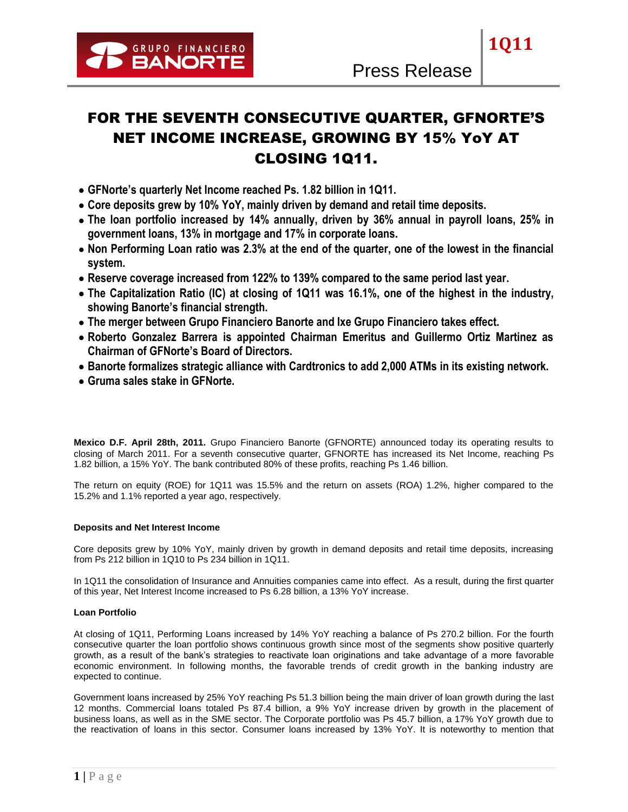**1Q11**

# FOR THE SEVENTH CONSECUTIVE QUARTER, GFNORTE'S NET INCOME INCREASE, GROWING BY 15% YoY AT CLOSING 1Q11.

- **GFNorte's quarterly Net Income reached Ps. 1.82 billion in 1Q11.**
- **Core deposits grew by 10% YoY, mainly driven by demand and retail time deposits.**
- **The loan portfolio increased by 14% annually, driven by 36% annual in payroll loans, 25% in government loans, 13% in mortgage and 17% in corporate loans.**
- **Non Performing Loan ratio was 2.3% at the end of the quarter, one of the lowest in the financial system.**
- **Reserve coverage increased from 122% to 139% compared to the same period last year.**
- **The Capitalization Ratio (IC) at closing of 1Q11 was 16.1%, one of the highest in the industry, showing Banorte's financial strength.**
- **The merger between Grupo Financiero Banorte and Ixe Grupo Financiero takes effect.**
- **Roberto Gonzalez Barrera is appointed Chairman Emeritus and Guillermo Ortiz Martinez as Chairman of GFNorte's Board of Directors.**
- **Banorte formalizes strategic alliance with Cardtronics to add 2,000 ATMs in its existing network.**
- **Gruma sales stake in GFNorte.**

**Mexico D.F. April 28th, 2011.** Grupo Financiero Banorte (GFNORTE) announced today its operating results to closing of March 2011. For a seventh consecutive quarter, GFNORTE has increased its Net Income, reaching Ps 1.82 billion, a 15% YoY. The bank contributed 80% of these profits, reaching Ps 1.46 billion.

The return on equity (ROE) for 1Q11 was 15.5% and the return on assets (ROA) 1.2%, higher compared to the 15.2% and 1.1% reported a year ago, respectively.

# **Deposits and Net Interest Income**

Core deposits grew by 10% YoY, mainly driven by growth in demand deposits and retail time deposits, increasing from Ps 212 billion in 1Q10 to Ps 234 billion in 1Q11.

In 1Q11 the consolidation of Insurance and Annuities companies came into effect. As a result, during the first quarter of this year, Net Interest Income increased to Ps 6.28 billion, a 13% YoY increase.

# **Loan Portfolio**

At closing of 1Q11, Performing Loans increased by 14% YoY reaching a balance of Ps 270.2 billion. For the fourth consecutive quarter the loan portfolio shows continuous growth since most of the segments show positive quarterly growth, as a result of the bank's strategies to reactivate loan originations and take advantage of a more favorable economic environment. In following months, the favorable trends of credit growth in the banking industry are expected to continue.

Government loans increased by 25% YoY reaching Ps 51.3 billion being the main driver of loan growth during the last 12 months. Commercial loans totaled Ps 87.4 billion, a 9% YoY increase driven by growth in the placement of business loans, as well as in the SME sector. The Corporate portfolio was Ps 45.7 billion, a 17% YoY growth due to the reactivation of loans in this sector. Consumer loans increased by 13% YoY. It is noteworthy to mention that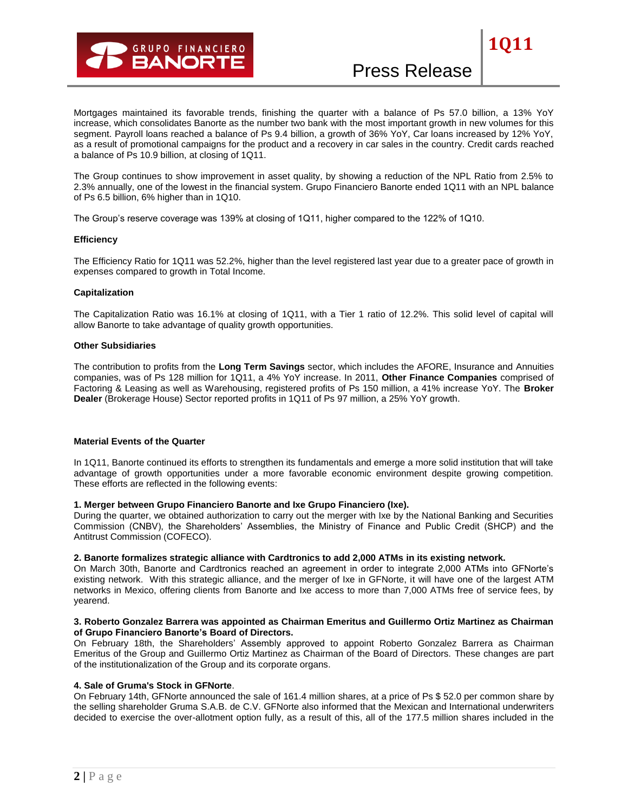

The Group continues to show improvement in asset quality, by showing a reduction of the NPL Ratio from 2.5% to 2.3% annually, one of the lowest in the financial system. Grupo Financiero Banorte ended 1Q11 with an NPL balance of Ps 6.5 billion, 6% higher than in 1Q10.

The Group's reserve coverage was 139% at closing of 1Q11, higher compared to the 122% of 1Q10.

#### **Efficiency**

The Efficiency Ratio for 1Q11 was 52.2%, higher than the level registered last year due to a greater pace of growth in expenses compared to growth in Total Income.

#### **Capitalization**

The Capitalization Ratio was 16.1% at closing of 1Q11, with a Tier 1 ratio of 12.2%. This solid level of capital will allow Banorte to take advantage of quality growth opportunities.

#### **Other Subsidiaries**

The contribution to profits from the **Long Term Savings** sector, which includes the AFORE, Insurance and Annuities companies, was of Ps 128 million for 1Q11, a 4% YoY increase. In 2011, **Other Finance Companies** comprised of Factoring & Leasing as well as Warehousing, registered profits of Ps 150 million, a 41% increase YoY. The **Broker Dealer** (Brokerage House) Sector reported profits in 1Q11 of Ps 97 million, a 25% YoY growth.

#### **Material Events of the Quarter**

In 1Q11, Banorte continued its efforts to strengthen its fundamentals and emerge a more solid institution that will take advantage of growth opportunities under a more favorable economic environment despite growing competition. These efforts are reflected in the following events:

#### **1. Merger between Grupo Financiero Banorte and Ixe Grupo Financiero (Ixe).**

During the quarter, we obtained authorization to carry out the merger with Ixe by the National Banking and Securities Commission (CNBV), the Shareholders' Assemblies, the Ministry of Finance and Public Credit (SHCP) and the Antitrust Commission (COFECO).

#### **2. Banorte formalizes strategic alliance with Cardtronics to add 2,000 ATMs in its existing network.**

On March 30th, Banorte and Cardtronics reached an agreement in order to integrate 2,000 ATMs into GFNorte's existing network. With this strategic alliance, and the merger of Ixe in GFNorte, it will have one of the largest ATM networks in Mexico, offering clients from Banorte and Ixe access to more than 7,000 ATMs free of service fees, by yearend.

#### **3. Roberto Gonzalez Barrera was appointed as Chairman Emeritus and Guillermo Ortiz Martinez as Chairman of Grupo Financiero Banorte's Board of Directors.**

On February 18th, the Shareholders' Assembly approved to appoint Roberto Gonzalez Barrera as Chairman Emeritus of the Group and Guillermo Ortiz Martinez as Chairman of the Board of Directors. These changes are part of the institutionalization of the Group and its corporate organs.

## **4. Sale of Gruma's Stock in GFNorte**.

On February 14th, GFNorte announced the sale of 161.4 million shares, at a price of Ps \$ 52.0 per common share by the selling shareholder Gruma S.A.B. de C.V. GFNorte also informed that the Mexican and International underwriters decided to exercise the over-allotment option fully, as a result of this, all of the 177.5 million shares included in the